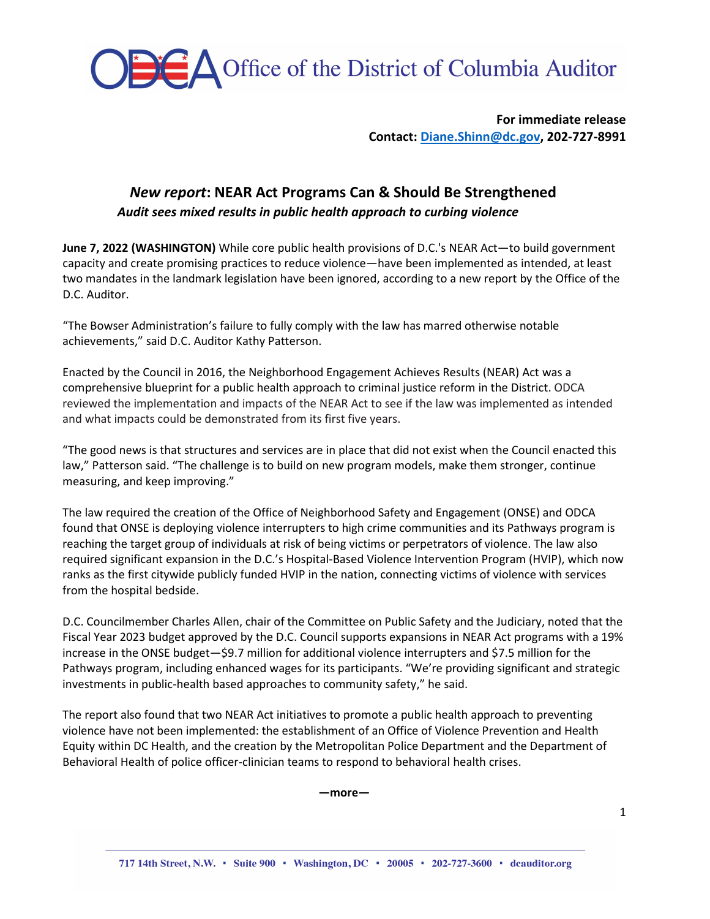**CA** Office of the District of Columbia Auditor

**For immediate release Contact[: Diane.Shinn@dc.gov,](mailto:Diane.Shinn@dc.gov) 202-727-8991** 

## *New report***: NEAR Act Programs Can & Should Be Strengthened**

*Audit sees mixed results in public health approach to curbing violence*

**June 7, 2022 (WASHINGTON)** While core public health provisions of D.C.'s NEAR Act—to build government capacity and create promising practices to reduce violence—have been implemented as intended, at least two mandates in the landmark legislation have been ignored, according to a new report by the Office of the D.C. Auditor.

"The Bowser Administration's failure to fully comply with the law has marred otherwise notable achievements," said D.C. Auditor Kathy Patterson.

Enacted by the Council in 2016, the Neighborhood Engagement Achieves Results (NEAR) Act was a comprehensive blueprint for a public health approach to criminal justice reform in the District. ODCA reviewed the implementation and impacts of the NEAR Act to see if the law was implemented as intended and what impacts could be demonstrated from its first five years.

"The good news is that structures and services are in place that did not exist when the Council enacted this law," Patterson said. "The challenge is to build on new program models, make them stronger, continue measuring, and keep improving."

The law required the creation of the Office of Neighborhood Safety and Engagement (ONSE) and ODCA found that ONSE is deploying violence interrupters to high crime communities and its Pathways program is reaching the target group of individuals at risk of being victims or perpetrators of violence. The law also required significant expansion in the D.C.'s Hospital-Based Violence Intervention Program (HVIP), which now ranks as the first citywide publicly funded HVIP in the nation, connecting victims of violence with services from the hospital bedside.

D.C. Councilmember Charles Allen, chair of the Committee on Public Safety and the Judiciary, noted that the Fiscal Year 2023 budget approved by the D.C. Council supports expansions in NEAR Act programs with a 19% increase in the ONSE budget—\$9.7 million for additional violence interrupters and \$7.5 million for the Pathways program, including enhanced wages for its participants. "We're providing significant and strategic investments in public-health based approaches to community safety," he said.

The report also found that two NEAR Act initiatives to promote a public health approach to preventing violence have not been implemented: the establishment of an Office of Violence Prevention and Health Equity within DC Health, and the creation by the Metropolitan Police Department and the Department of Behavioral Health of police officer-clinician teams to respond to behavioral health crises.

**—more—**